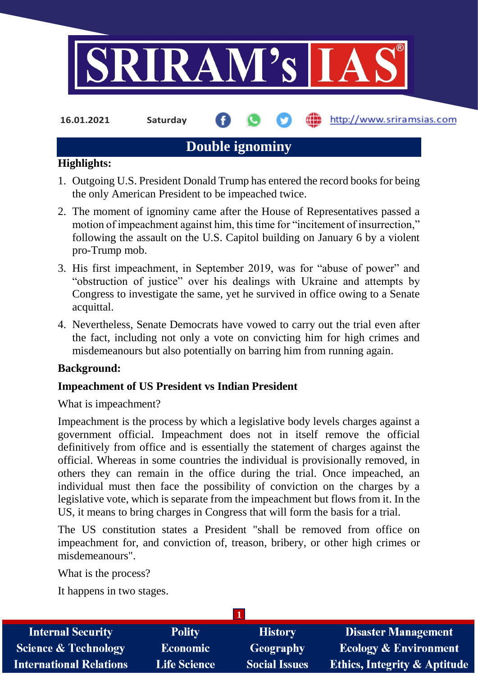

**16.01.2021 Saturday**

http://www.sriramsias.com

# **Double ignominy**

#### **Highlights:**

- 1. Outgoing U.S. President Donald Trump has entered the record books for being the only American President to be impeached twice.
- 2. The moment of ignominy came after the House of Representatives passed a motion of impeachment against him, this time for "incitement of insurrection," following the assault on the U.S. Capitol building on January 6 by a violent pro-Trump mob.
- 3. His first impeachment, in September 2019, was for "abuse of power" and "obstruction of justice" over his dealings with Ukraine and attempts by Congress to investigate the same, yet he survived in office owing to a Senate acquittal.
- 4. Nevertheless, Senate Democrats have vowed to carry out the trial even after the fact, including not only a vote on convicting him for high crimes and misdemeanours but also potentially on barring him from running again.

## **Background:**

## **Impeachment of US President vs Indian President**

What is impeachment?

Impeachment is the process by which a legislative body levels charges against a government official. Impeachment does not in itself remove the official definitively from office and is essentially the statement of charges against the official. Whereas in some countries the individual is provisionally removed, in others they can remain in the office during the trial. Once impeached, an individual must then face the possibility of conviction on the charges by a legislative vote, which is separate from the impeachment but flows from it. In the US, it means to bring charges in Congress that will form the basis for a trial.

The US constitution states a President "shall be removed from office on impeachment for, and conviction of, treason, bribery, or other high crimes or misdemeanours".

What is the process?

It happens in two stages.

| <b>Internal Security</b>        | <b>Polity</b>       | <b>History</b>       | <b>Disaster Management</b>              |  |  |  |
|---------------------------------|---------------------|----------------------|-----------------------------------------|--|--|--|
| <b>Science &amp; Technology</b> | <b>Economic</b>     | <b>Geography</b>     | <b>Ecology &amp; Environment</b>        |  |  |  |
| <b>International Relations</b>  | <b>Life Science</b> | <b>Social Issues</b> | <b>Ethics, Integrity &amp; Aptitude</b> |  |  |  |
|                                 |                     |                      |                                         |  |  |  |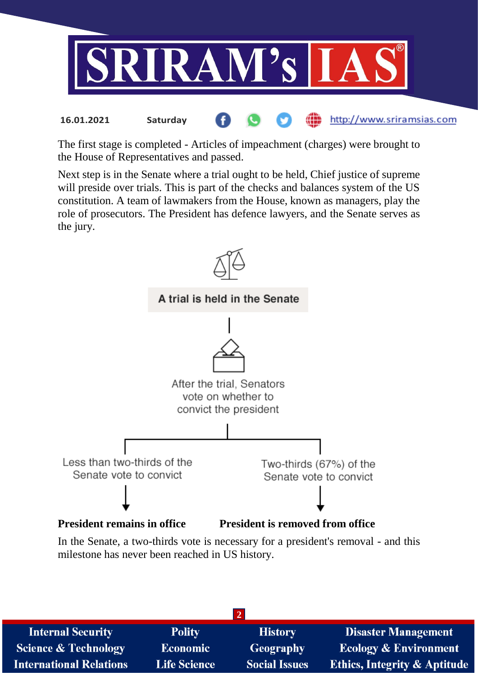

The first stage is completed - Articles of impeachment (charges) were brought to the House of Representatives and passed.

Next step is in the Senate where a trial ought to be held, Chief justice of supreme will preside over trials. This is part of the checks and balances system of the US constitution. A team of lawmakers from the House, known as managers, play the role of prosecutors. The President has defence lawyers, and the Senate serves as the jury.



In the Senate, a two-thirds vote is necessary for a president's removal - and this milestone has never been reached in US history.

| <b>Internal Security</b>        | <b>Polity</b>       | <b>History</b>       | <b>Disaster Management</b>              |  |  |  |
|---------------------------------|---------------------|----------------------|-----------------------------------------|--|--|--|
| <b>Science &amp; Technology</b> | <b>Economic</b>     | Geography            | <b>Ecology &amp; Environment</b>        |  |  |  |
| <b>International Relations</b>  | <b>Life Science</b> | <b>Social Issues</b> | <b>Ethics, Integrity &amp; Aptitude</b> |  |  |  |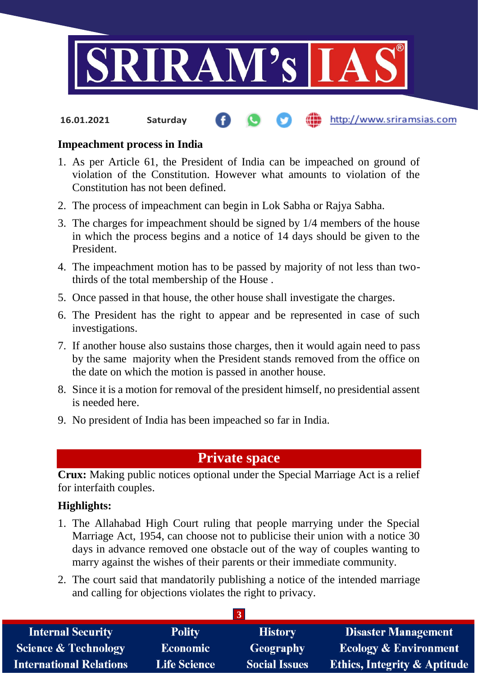

http://www.sriramsias.com **16.01.2021 Saturday**

#### **Impeachment process in India**

- 1. As per Article 61, the President of India can be impeached on ground of violation of the Constitution. However what amounts to violation of the Constitution has not been defined.
- 2. The process of impeachment can begin in Lok Sabha or Rajya Sabha.
- 3. The charges for impeachment should be signed by 1/4 members of the house in which the process begins and a notice of 14 days should be given to the President.
- 4. The impeachment motion has to be passed by majority of not less than twothirds of the total membership of the House .
- 5. Once passed in that house, the other house shall investigate the charges.
- 6. The President has the right to appear and be represented in case of such investigations.
- 7. If another house also sustains those charges, then it would again need to pass by the same majority when the President stands removed from the office on the date on which the motion is passed in another house.
- 8. Since it is a motion for removal of the president himself, no presidential assent is needed here.
- 9. No president of India has been impeached so far in India.

## **Private space**

**Crux:** Making public notices optional under the Special Marriage Act is a relief for interfaith couples.

#### **Highlights:**

- 1. The Allahabad High Court ruling that people marrying under the Special Marriage Act, 1954, can choose not to publicise their union with a notice 30 days in advance removed one obstacle out of the way of couples wanting to marry against the wishes of their parents or their immediate community.
- 2. The court said that mandatorily publishing a notice of the intended marriage and calling for objections violates the right to privacy.

**3**

| <b>Internal Security</b>        | <b>Polity</b>       | <b>History</b>       | <b>Disaster Management</b>              |  |  |
|---------------------------------|---------------------|----------------------|-----------------------------------------|--|--|
| <b>Science &amp; Technology</b> | <b>Economic</b>     | Geography            | <b>Ecology &amp; Environment</b>        |  |  |
| <b>International Relations</b>  | <b>Life Science</b> | <b>Social Issues</b> | <b>Ethics, Integrity &amp; Aptitude</b> |  |  |